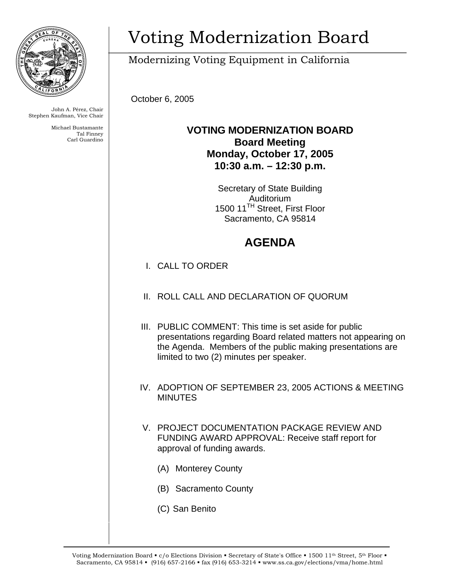

John A. Pérez, Chair Stephen Kaufman, Vice Chair

> Michael Bustamante Tal Finney Carl Guardino

# Voting Modernization Board

Modernizing Voting Equipment in California

October 6, 2005

### **VOTING MODERNIZATION BOARD Board Meeting Monday, October 17, 2005 10:30 a.m. – 12:30 p.m.**

Secretary of State Building Auditorium 1500 11TH Street, First Floor Sacramento, CA 95814

## **AGENDA**

- I. CALL TO ORDER
- II. ROLL CALL AND DECLARATION OF QUORUM
- III. PUBLIC COMMENT: This time is set aside for public presentations regarding Board related matters not appearing on the Agenda. Members of the public making presentations are limited to two (2) minutes per speaker.
- IV. ADOPTION OF SEPTEMBER 23, 2005 ACTIONS & MEETING MINUTES
- V. PROJECT DOCUMENTATION PACKAGE REVIEW AND FUNDING AWARD APPROVAL: Receive staff report for approval of funding awards.
	- (A) Monterey County
	- (B) Sacramento County
	- (C) San Benito